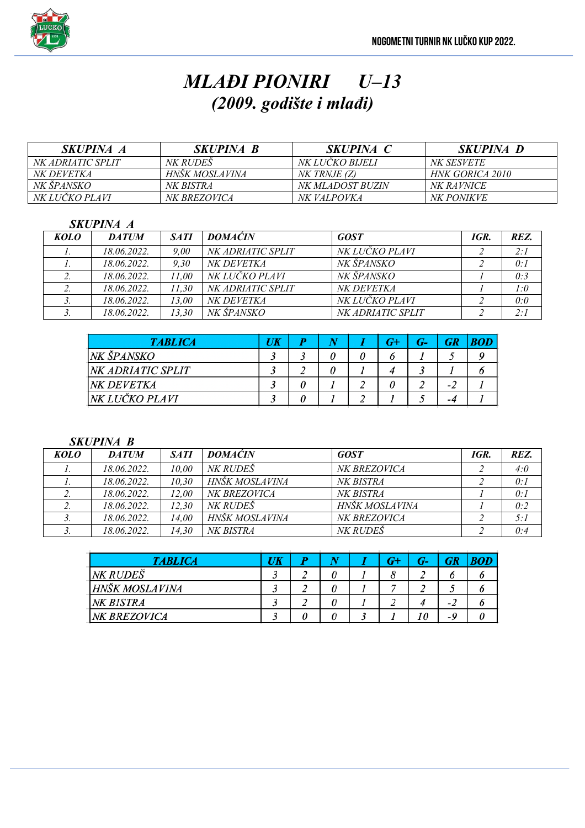

# *MLAĐI PIONIRI U–13 (2009. godište i mlađi)*

| <i>SKUPINA A</i>         | <i>SKUPINA B</i>    | <b>SKUPINA C</b> | <i>SKUPINA D</i>  |
|--------------------------|---------------------|------------------|-------------------|
| <i>NK ADRIATIC SPLIT</i> | <i>NK RUDES</i>     | NK LUCKO BIJELI  | NK SESVETE        |
| NK DEVETKA               | HNŠK MOSLAVINA      | NK TRNJE (Z)     | HNK GORICA 2010   |
| NK ŠPANSKO               | NK BISTRA           | NK MLADOST BUZIN | <i>NK RAVNICE</i> |
| NK LUČKO PLAVI           | <i>NK BREZOVICA</i> | NK VALPOVKA      | <i>NK PONIKVE</i> |

#### *SKUPINA A*

| KOLO | <b>DATUM</b> | <b>SATI</b> | <b>DOMACIN</b>    | <b>GOST</b>       | IGR. | REZ. |
|------|--------------|-------------|-------------------|-------------------|------|------|
|      | 18.06.2022.  | 9.00        | NK ADRIATIC SPLIT | NK LUČKO PLAVI    |      | 2:1  |
|      | 18.06.2022.  | 9.30        | NK DEVETKA        | NK ŠPANSKO        |      | 0:1  |
|      | 18.06.2022.  | 11.00       | NK LUČKO PLAVI    | NK ŠPANSKO        |      | 0:3  |
|      | 18.06.2022.  | 11.30       | NK ADRIATIC SPLIT | NK DEVETKA        |      | 1:0  |
|      | 18.06.2022.  | 13.00       | NK DEVETKA        | NK LUČKO PLAVI    |      | 0:0  |
|      | 18.06.2022.  | 13.30       | NK ŠPANSKO        | NK ADRIATIC SPLIT |      | 2:1  |

| <b>TABLICA</b>           | IJK | D |  | G+ |      |  |
|--------------------------|-----|---|--|----|------|--|
| NK ŠPANSKO               |     |   |  |    |      |  |
| <b>NK ADRIATIC SPLIT</b> |     |   |  |    |      |  |
| <i>NK DEVETKA</i>        |     |   |  |    | $-4$ |  |
| NK LUČKO PLAVI           |     |   |  |    | -4   |  |

*SKUPINA B*

| <b>KOLO</b> | <b>DATUM</b> | <b>SATI</b> | <b>DOMACIN</b>  | <b>GOST</b>    | IGR. | REZ. |
|-------------|--------------|-------------|-----------------|----------------|------|------|
|             | 18.06.2022.  | 10.00       | <i>NK RUDES</i> | NK BREZOVICA   |      | 4:0  |
|             | 18.06.2022.  | 10.30       | HNŠK MOSLAVINA  | NK BISTRA      |      | 0:1  |
|             | 18.06.2022.  | 12.00       | NK BREZOVICA    | NK BISTRA      |      | 0:1  |
|             | 18.06.2022.  | 12.30       | NK RUDEŠ        | HNŠK MOSLAVINA |      | 0:2  |
|             | 18.06.2022.  | 14.00       | HNŠK MOSLAVINA  | NK BREZOVICA   |      | 5:1  |
| J.          | 18.06.2022.  | 14.30       | NK BISTRA       | NK RUDES       |      | 0:4  |

| <b>TABLICA</b> | UK |   |  | $G^+$ | G- | GR   |  |
|----------------|----|---|--|-------|----|------|--|
| NK RUDEŠ       |    |   |  |       |    |      |  |
| HNŠK MOSLAVINA |    | ∸ |  |       |    |      |  |
| NK BISTRA      |    |   |  |       |    | $-2$ |  |
| NK BREZOVICA   |    |   |  |       | 10 | $-c$ |  |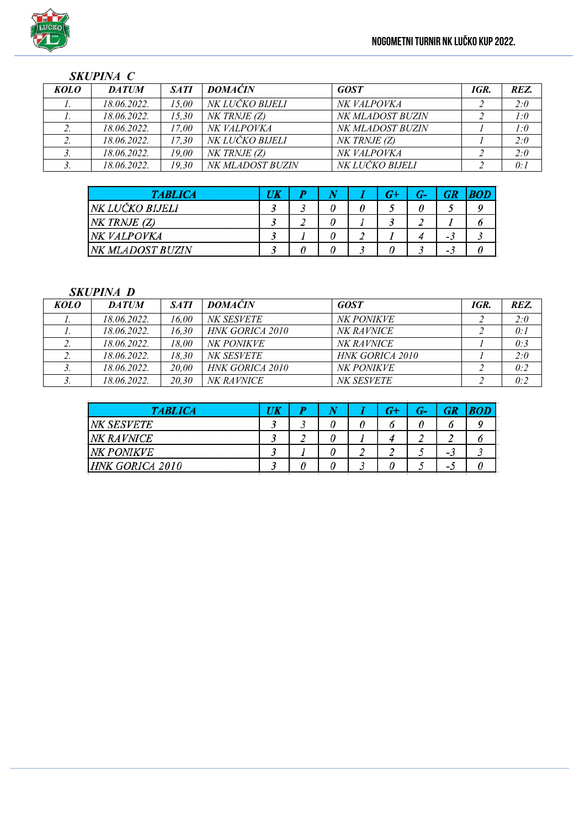#### *SKUPINA C*

| <b>KOLO</b> | <b>DATUM</b> | <b>SATI</b> | <b>DOMAĆIN</b>   | <b>GOST</b>      | IGR. | REZ. |
|-------------|--------------|-------------|------------------|------------------|------|------|
|             | 18.06.2022.  | 15.00       | NK LUČKO BIJELI  | NK VALPOVKA      |      | 2:0  |
|             | 18.06.2022.  | 15.30       | $NK$ TRNJE $(Z)$ | NK MLADOST BUZIN |      | 1:0  |
|             | 18.06.2022.  | 17.00       | NK VALPOVKA      | NK MLADOST BUZIN |      | 1:0  |
|             | 18.06.2022.  | 17.30       | NK LUČKO BIJELI  | NK TRNJE (Z)     |      | 2:0  |
|             | 18.06.2022.  | 19.00       | $NK$ TRNJE $(Z)$ | NK VALPOVKA      |      | 2:0  |
|             | 18.06.2022.  | 19.30       | NK MLADOST BUZIN | NK LUČKO BIJELI  |      | 0:1  |

| <b>TABLICA</b>          | UK | N |  | $G-$ |     | <b>BOD</b> |
|-------------------------|----|---|--|------|-----|------------|
| NK LUČKO BIJELI         |    | υ |  |      |     |            |
| $NK$ TRNJE $(Z)$        |    |   |  |      |     |            |
| NK VALPOVKA             |    |   |  |      | - 3 |            |
| <i>NK MLADOST BUZIN</i> |    |   |  |      | - 1 |            |

#### *SKUPINA D*

| KOLO | <b>DATUM</b> | <b>SATI</b> | <b>DOMACIN</b>         | <b>GOST</b>       | IGR. | REZ. |
|------|--------------|-------------|------------------------|-------------------|------|------|
|      | 18.06.2022.  | 16.00       | NK SESVETE             | <i>NK PONIKVE</i> |      | 2:0  |
|      | 18.06.2022.  | 16.30       | <b>HNK GORICA 2010</b> | NK RAVNICE        |      | 0:1  |
|      | 18.06.2022.  | 18.00       | <i>NK PONIKVE</i>      | <i>NK RAVNICE</i> |      | 0:3  |
|      | 18.06.2022.  | 18.30       | <i>NK SESVETE</i>      | HNK GORICA 2010   |      | 2:0  |
|      | 18.06.2022.  | 20,00       | <b>HNK GORICA 2010</b> | <i>NK PONIKVE</i> |      | 0:2  |
|      | 18.06.2022.  | 20.30       | <i>NK RAVNICE</i>      | <i>NK SESVETE</i> |      | 0:2  |

| <b>TABLICA</b>         | UK |   | G+ | $G-$ | GR                       |  |
|------------------------|----|---|----|------|--------------------------|--|
| NK SESVETE             |    | υ | ο  | υ    |                          |  |
| NK RAVNICE             |    | 0 |    |      |                          |  |
| <b>NK PONIKVE</b>      |    | 0 |    |      | - 3                      |  |
| <b>HNK GORICA 2010</b> |    |   |    |      | $\overline{\phantom{a}}$ |  |